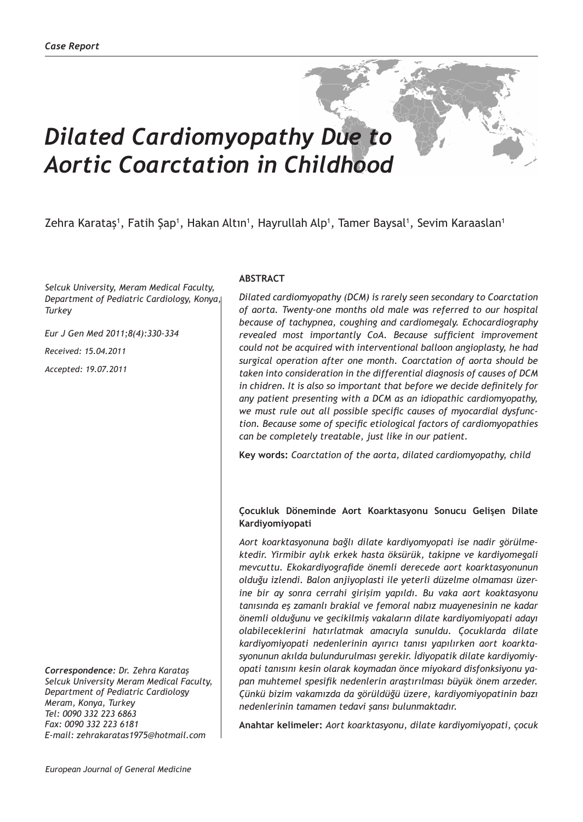# *Dilated Cardiomyopathy Due to Aortic Coarctation in Childhood*

# Zehra Karataş<sup>1</sup>, Fatih Şap<sup>1</sup>, Hakan Altın<sup>1</sup>, Hayrullah Alp<sup>1</sup>, Tamer Baysal<sup>1</sup>, Sevim Karaaslan<sup>1</sup>

*Selcuk University, Meram Medical Faculty, Department of Pediatric Cardiology, Konya, Turkey*

*Eur J Gen Med 2011;8(4):330-334*

*Received: 15.04.2011*

*Accepted: 19.07.2011*

*Correspondence: Dr. Zehra Karataş Selcuk University Meram Medical Faculty, Department of Pediatric Cardiology Meram, Konya, Turkey Tel: 0090 332 223 6863 Fax: 0090 332 223 6181 E-mail: zehrakaratas1975@hotmail.com*

### **ABSTRACT**

*Dilated cardiomyopathy (DCM) is rarely seen secondary to Coarctation of aorta. Twenty-one months old male was referred to our hospital because of tachypnea, coughing and cardiomegaly. Echocardiography revealed most importantly CoA. Because sufficient improvement could not be acquired with interventional balloon angioplasty, he had surgical operation after one month. Coarctation of aorta should be taken into consideration in the differential diagnosis of causes of DCM in chidren. It is also so important that before we decide definitely for any patient presenting with a DCM as an idiopathic cardiomyopathy, we must rule out all possible specific causes of myocardial dysfunction. Because some of specific etiological factors of cardiomyopathies can be completely treatable, just like in our patient.* 

**Key words:** *Coarctation of the aorta, dilated cardiomyopathy, child*

#### **Çocukluk Döneminde Aort Koarktasyonu Sonucu Gelişen Dilate Kardiyomiyopati**

*Aort koarktasyonuna bağlı dilate kardiyomyopati ise nadir görülmektedir. Yirmibir aylık erkek hasta öksürük, takipne ve kardiyomegali mevcuttu. Ekokardiyografide önemli derecede aort koarktasyonunun olduğu izlendi. Balon anjiyoplasti ile yeterli düzelme olmaması üzerine bir ay sonra cerrahi girişim yapıldı. Bu vaka aort koaktasyonu tanısında eş zamanlı brakial ve femoral nabız muayenesinin ne kadar önemli olduğunu ve gecikilmiş vakaların dilate kardiyomiyopati adayı olabileceklerini hatırlatmak amacıyla sunuldu. Çocuklarda dilate kardiyomiyopati nedenlerinin ayırıcı tanısı yapılırken aort koarktasyonunun akılda bulundurulması gerekir. İdiyopatik dilate kardiyomiyopati tanısını kesin olarak koymadan önce miyokard disfonksiyonu yapan muhtemel spesifik nedenlerin araştırılması büyük önem arzeder. Çünkü bizim vakamızda da görüldüğü üzere, kardiyomiyopatinin bazı nedenlerinin tamamen tedavi şansı bulunmaktadır.*

**Anahtar kelimeler:** *Aort koarktasyonu, dilate kardiyomiyopati, çocuk*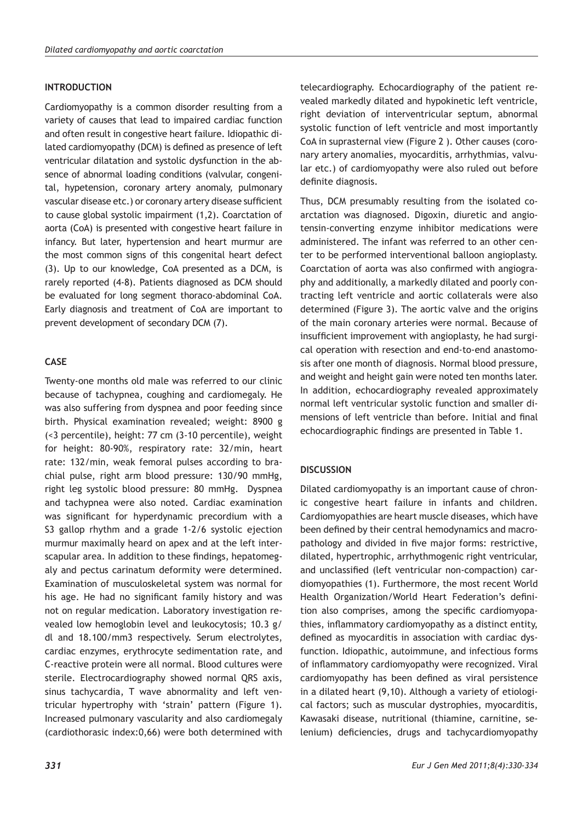#### **INTRODUCTION**

Cardiomyopathy is a common disorder resulting from a variety of causes that lead to impaired cardiac function and often result in congestive heart failure. Idiopathic dilated cardiomyopathy (DCM) is defined as presence of left ventricular dilatation and systolic dysfunction in the absence of abnormal loading conditions (valvular, congenital, hypetension, coronary artery anomaly, pulmonary vascular disease etc.) or coronary artery disease sufficient to cause global systolic impairment (1,2). Coarctation of aorta (CoA) is presented with congestive heart failure in infancy. But later, hypertension and heart murmur are the most common signs of this congenital heart defect (3). Up to our knowledge, CoA presented as a DCM, is rarely reported (4-8). Patients diagnosed as DCM should be evaluated for long segment thoraco-abdominal CoA. Early diagnosis and treatment of CoA are important to prevent development of secondary DCM (7).

## **CASE**

Twenty-one months old male was referred to our clinic because of tachypnea, coughing and cardiomegaly. He was also suffering from dyspnea and poor feeding since birth. Physical examination revealed; weight: 8900 g (<3 percentile), height: 77 cm (3-10 percentile), weight for height: 80-90%, respiratory rate: 32/min, heart rate: 132/min, weak femoral pulses according to brachial pulse, right arm blood pressure: 130/90 mmHg, right leg systolic blood pressure: 80 mmHg. Dyspnea and tachypnea were also noted. Cardiac examination was significant for hyperdynamic precordium with a S3 gallop rhythm and a grade 1-2/6 systolic ejection murmur maximally heard on apex and at the left interscapular area. In addition to these findings, hepatomegaly and pectus carinatum deformity were determined. Examination of musculoskeletal system was normal for his age. He had no significant family history and was not on regular medication. Laboratory investigation revealed low hemoglobin level and leukocytosis; 10.3 g/ dl and 18.100/mm3 respectively. Serum electrolytes, cardiac enzymes, erythrocyte sedimentation rate, and C-reactive protein were all normal. Blood cultures were sterile. Electrocardiography showed normal QRS axis, sinus tachycardia, T wave abnormality and left ventricular hypertrophy with 'strain' pattern (Figure 1). Increased pulmonary vascularity and also cardiomegaly (cardiothorasic index:0,66) were both determined with

telecardiography. Echocardiography of the patient revealed markedly dilated and hypokinetic left ventricle, right deviation of interventricular septum, abnormal systolic function of left ventricle and most importantly CoA in suprasternal view (Figure 2 ). Other causes (coronary artery anomalies, myocarditis, arrhythmias, valvular etc.) of cardiomyopathy were also ruled out before definite diagnosis.

Thus, DCM presumably resulting from the isolated coarctation was diagnosed. Digoxin, diuretic and angiotensin-converting enzyme inhibitor medications were administered. The infant was referred to an other center to be performed interventional balloon angioplasty. Coarctation of aorta was also confirmed with angiography and additionally, a markedly dilated and poorly contracting left ventricle and aortic collaterals were also determined (Figure 3). The aortic valve and the origins of the main coronary arteries were normal. Because of insufficient improvement with angioplasty, he had surgical operation with resection and end-to-end anastomosis after one month of diagnosis. Normal blood pressure, and weight and height gain were noted ten months later. In addition, echocardiography revealed approximately normal left ventricular systolic function and smaller dimensions of left ventricle than before. Initial and final echocardiographic findings are presented in Table 1.

#### **DISCUSSION**

Dilated cardiomyopathy is an important cause of chronic congestive heart failure in infants and children. Cardiomyopathies are heart muscle diseases, which have been defined by their central hemodynamics and macropathology and divided in five major forms: restrictive, dilated, hypertrophic, arrhythmogenic right ventricular, and unclassified (left ventricular non-compaction) cardiomyopathies (1). Furthermore, the most recent World Health Organization/World Heart Federation's definition also comprises, among the specific cardiomyopathies, inflammatory cardiomyopathy as a distinct entity, defined as myocarditis in association with cardiac dysfunction. Idiopathic, autoimmune, and infectious forms of inflammatory cardiomyopathy were recognized. Viral cardiomyopathy has been defined as viral persistence in a dilated heart (9,10). Although a variety of etiological factors; such as muscular dystrophies, myocarditis, Kawasaki disease, nutritional (thiamine, carnitine, selenium) deficiencies, drugs and tachycardiomyopathy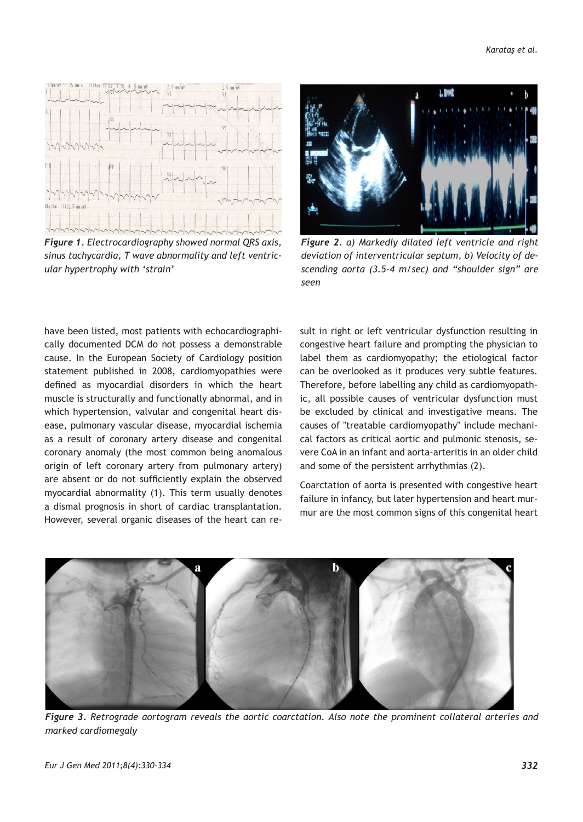

*Figure 1. Electrocardiography showed normal QRS axis, sinus tachycardia, T wave abnormality and left ventricular hypertrophy with 'strain'*



*Figure 2. a) Markedly dilated left ventricle and right deviation of interventricular septum, b) Velocity of descending aorta (3.5-4 m/sec) and "shoulder sign" are seen*

have been listed, most patients with echocardiographically documented DCM do not possess a demonstrable cause. In the European Society of Cardiology position statement published in 2008, cardiomyopathies were defined as myocardial disorders in which the heart muscle is structurally and functionally abnormal, and in which hypertension, valvular and congenital heart disease, pulmonary vascular disease, myocardial ischemia as a result of coronary artery disease and congenital coronary anomaly (the most common being anomalous origin of left coronary artery from pulmonary artery) are absent or do not sufficiently explain the observed myocardial abnormality (1). This term usually denotes a dismal prognosis in short of cardiac transplantation. However, several organic diseases of the heart can result in right or left ventricular dysfunction resulting in congestive heart failure and prompting the physician to label them as cardiomyopathy; the etiological factor can be overlooked as it produces very subtle features. Therefore, before labelling any child as cardiomyopathic, all possible causes of ventricular dysfunction must be excluded by clinical and investigative means. The causes of "treatable cardiomyopathy" include mechanical factors as critical aortic and pulmonic stenosis, severe CoA in an infant and aorta-arteritis in an older child and some of the persistent arrhythmias (2).

Coarctation of aorta is presented with congestive heart failure in infancy, but later hypertension and heart murmur are the most common signs of this congenital heart



*Figure 3. Retrograde aortogram reveals the aortic coarctation. Also note the prominent collateral arteries and marked cardiomegaly*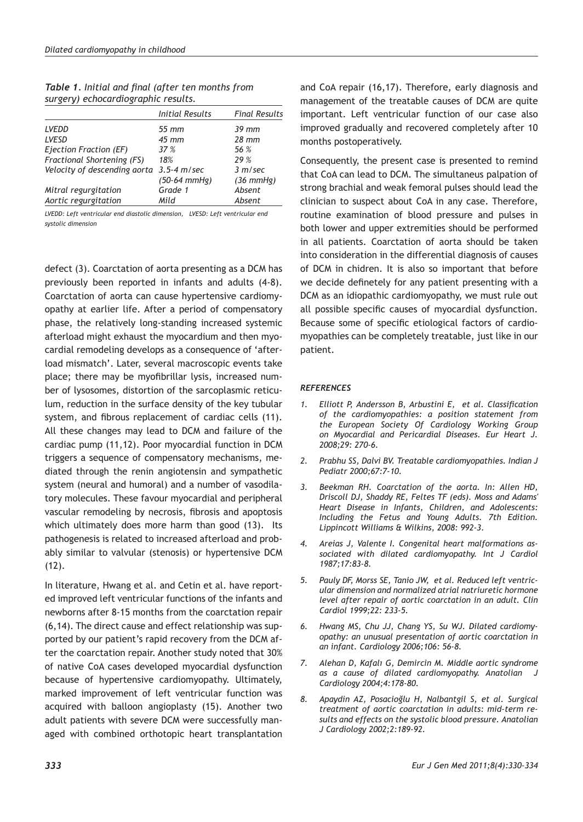|                                          | <b>Initial Results</b> | <b>Final Results</b> |  |
|------------------------------------------|------------------------|----------------------|--|
| <b>LVEDD</b>                             | $55 \, \mathrm{mm}$    | $39$ mm              |  |
| LVESD                                    | $45 \text{ mm}$        | $28$ mm              |  |
| Ejection Fraction (EF)                   | 37 %                   | 56 %                 |  |
| Fractional Shortening (FS)               | 18%                    | 29 %                 |  |
| Velocity of descending aorta 3.5-4 m/sec |                        | 3 m/sec              |  |
|                                          | $(50-64$ mmHg)         | $(36$ mmHg)          |  |
| Mitral regurgitation                     | Grade 1                | Absent               |  |
| Aortic regurgitation                     | Mild                   | Absent               |  |

| Table 1. Initial and final (after ten months from |  |  |  |
|---------------------------------------------------|--|--|--|
| surgery) echocardiographic results.               |  |  |  |

*LVEDD: Left ventricular end diastolic dimension, LVESD: Left ventricular end systolic dimension*

defect (3). Coarctation of aorta presenting as a DCM has previously been reported in infants and adults (4-8). Coarctation of aorta can cause hypertensive cardiomyopathy at earlier life. After a period of compensatory phase, the relatively long-standing increased systemic afterload might exhaust the myocardium and then myocardial remodeling develops as a consequence of 'afterload mismatch'. Later, several macroscopic events take place; there may be myofibrillar lysis, increased number of lysosomes, distortion of the sarcoplasmic reticulum, reduction in the surface density of the key tubular system, and fibrous replacement of cardiac cells (11). All these changes may lead to DCM and failure of the cardiac pump (11,12). Poor myocardial function in DCM triggers a sequence of compensatory mechanisms, mediated through the renin angiotensin and sympathetic system (neural and humoral) and a number of vasodilatory molecules. These favour myocardial and peripheral vascular remodeling by necrosis, fibrosis and apoptosis which ultimately does more harm than good (13). Its pathogenesis is related to increased afterload and probably similar to valvular (stenosis) or hypertensive DCM  $(12)$ .

In literature, Hwang et al. and Cetin et al. have reported improved left ventricular functions of the infants and newborns after 8-15 months from the coarctation repair (6,14). The direct cause and effect relationship was supported by our patient's rapid recovery from the DCM after the coarctation repair. Another study noted that 30% of native CoA cases developed myocardial dysfunction because of hypertensive cardiomyopathy. Ultimately, marked improvement of left ventricular function was acquired with balloon angioplasty (15). Another two adult patients with severe DCM were successfully managed with combined orthotopic heart transplantation

and CoA repair (16,17). Therefore, early diagnosis and management of the treatable causes of DCM are quite important. Left ventricular function of our case also improved gradually and recovered completely after 10 months postoperatively.

Consequently, the present case is presented to remind that CoA can lead to DCM. The simultaneus palpation of strong brachial and weak femoral pulses should lead the clinician to suspect about CoA in any case. Therefore, routine examination of blood pressure and pulses in both lower and upper extremities should be performed in all patients. Coarctation of aorta should be taken into consideration in the differential diagnosis of causes of DCM in chidren. It is also so important that before we decide definetely for any patient presenting with a DCM as an idiopathic cardiomyopathy, we must rule out all possible specific causes of myocardial dysfunction. Because some of specific etiological factors of cardiomyopathies can be completely treatable, just like in our patient.

#### *REFERENCES*

- *1. Elliott P, Andersson B, Arbustini E, et al. Classification of the cardiomyopathies: a position statement from the European Society Of Cardiology Working Group on Myocardial and Pericardial Diseases. Eur Heart J. 2008;29: 270-6.*
- *2. Prabhu SS, Dalvi BV. Treatable cardiomyopathies. Indian J Pediatr 2000;67:7-10.*
- *3. Beekman RH. Coarctation of the aorta. In: Allen HD, Driscoll DJ, Shaddy RE, Feltes TF (eds). Moss and Adams' Heart Disease in Infants, Children, and Adolescents: Including the Fetus and Young Adults. 7th Edition. Lippincott Williams & Wilkins, 2008: 992-3.*
- *4. Areias J, Valente I. Congenital heart malformations associated with dilated cardiomyopathy. Int J Cardiol 1987;17:83-8.*
- *5. Pauly DF, Morss SE, Tanio JW, et al. Reduced left ventricular dimension and normalized atrial natriuretic hormone level after repair of aortic coarctation in an adult. Clin Cardiol 1999;22: 233-5.*
- *6. Hwang MS, Chu JJ, Chang YS, Su WJ. Dilated cardiomyopathy: an unusual presentation of aortic coarctation in an infant. Cardiology 2006;106: 56-8.*
- *7. Alehan D, Kafalı G, Demircin M. Middle aortic syndrome*  as a cause of dilated cardiomyopathy. Anatolian *Cardiology 2004;4:178-80.*
- *8. Apaydin AZ, Posacioğlu H, Nalbantgil S, et al. Surgical treatment of aortic coarctation in adults: mid-term results and effects on the systolic blood pressure. Anatolian J Cardiology 2002;2:189-92.*